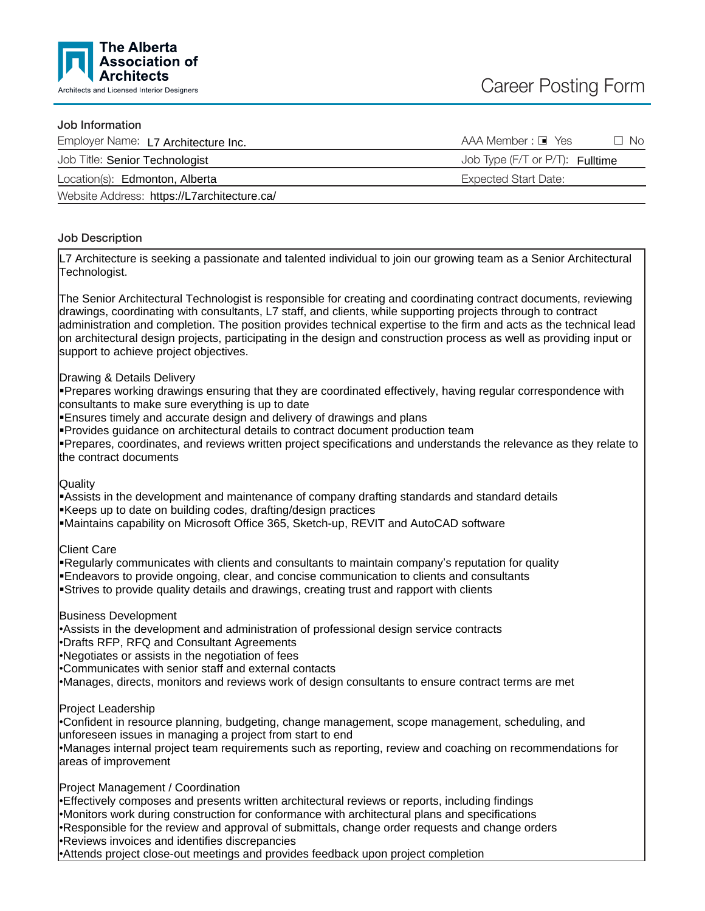

#### Job Information

| Employer Name: L7 Architecture Inc.         | $AAA$ Member : $\blacksquare$ Yes<br>- No |
|---------------------------------------------|-------------------------------------------|
| Job Title: Senior Technologist              | Job Type (F/T or P/T): Fulltime           |
| Location(s): Edmonton, Alberta              | Expected Start Date:                      |
| Website Address: https://L7architecture.ca/ |                                           |

## Job Description

L7 Architecture is seeking a passionate and talented individual to join our growing team as a Senior Architectural Technologist.

The Senior Architectural Technologist is responsible for creating and coordinating contract documents, reviewing drawings, coordinating with consultants, L7 staff, and clients, while supporting projects through to contract administration and completion. The position provides technical expertise to the firm and acts as the technical lead on architectural design projects, participating in the design and construction process as well as providing input or support to achieve project objectives.

### Drawing & Details Delivery

Prepares working drawings ensuring that they are coordinated effectively, having regular correspondence with consultants to make sure everything is up to date

ßEnsures timely and accurate design and delivery of drawings and plans

Provides guidance on architectural details to contract document production team

ßPrepares, coordinates, and reviews written project specifications and understands the relevance as they relate to the contract documents

### Quality

**Assists in the development and maintenance of company drafting standards and standard details** Keeps up to date on building codes, drafting/design practices

ßMaintains capability on Microsoft Office 365, Sketch-up, REVIT and AutoCAD software

Client Care

Kegularly communicates with clients and consultants to maintain company's reputation for quality ßEndeavors to provide ongoing, clear, and concise communication to clients and consultants Strives to provide quality details and drawings, creating trust and rapport with clients

Business Development

•Assists in the development and administration of professional design service contracts

•Drafts RFP, RFQ and Consultant Agreements

•Negotiates or assists in the negotiation of fees

•Communicates with senior staff and external contacts

•Manages, directs, monitors and reviews work of design consultants to ensure contract terms are met

Project Leadership

•Confident in resource planning, budgeting, change management, scope management, scheduling, and unforeseen issues in managing a project from start to end

•Manages internal project team requirements such as reporting, review and coaching on recommendations for areas of improvement

Project Management / Coordination

•Effectively composes and presents written architectural reviews or reports, including findings

•Monitors work during construction for conformance with architectural plans and specifications

•Responsible for the review and approval of submittals, change order requests and change orders

•Reviews invoices and identifies discrepancies

•Attends project close-out meetings and provides feedback upon project completion